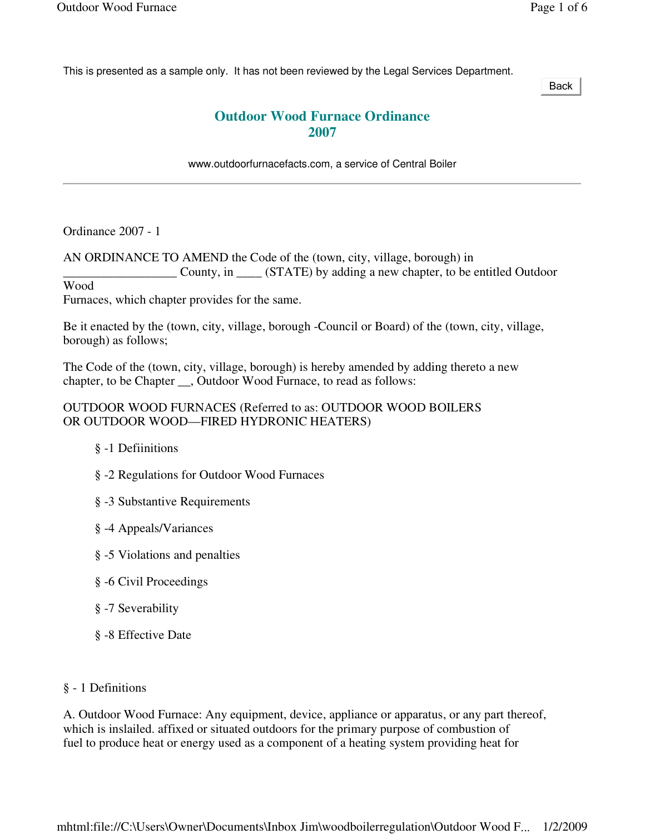This is presented as a sample only. It has not been reviewed by the Legal Services Department.

Back

## **Outdoor Wood Furnace Ordinance 2007**

www.outdoorfurnacefacts.com, a service of Central Boiler

Ordinance 2007 - 1

AN ORDINANCE TO AMEND the Code of the (town, city, village, borough) in County, in \_\_\_\_\_\_ (STATE) by adding a new chapter, to be entitled Outdoor Wood

Furnaces, which chapter provides for the same.

Be it enacted by the (town, city, village, borough -Council or Board) of the (town, city, village, borough) as follows;

The Code of the (town, city, village, borough) is hereby amended by adding thereto a new chapter, to be Chapter \_\_, Outdoor Wood Furnace, to read as follows:

## OUTDOOR WOOD FURNACES (Referred to as: OUTDOOR WOOD BOILERS OR OUTDOOR WOOD—FIRED HYDRONIC HEATERS)

- § -1 Defiinitions
- § -2 Regulations for Outdoor Wood Furnaces
- § -3 Substantive Requirements
- § -4 Appeals/Variances
- § -5 Violations and penalties
- § -6 Civil Proceedings
- § -7 Severability
- § -8 Effective Date

## § - 1 Definitions

A. Outdoor Wood Furnace: Any equipment, device, appliance or apparatus, or any part thereof, which is inslailed. affixed or situated outdoors for the primary purpose of combustion of fuel to produce heat or energy used as a component of a heating system providing heat for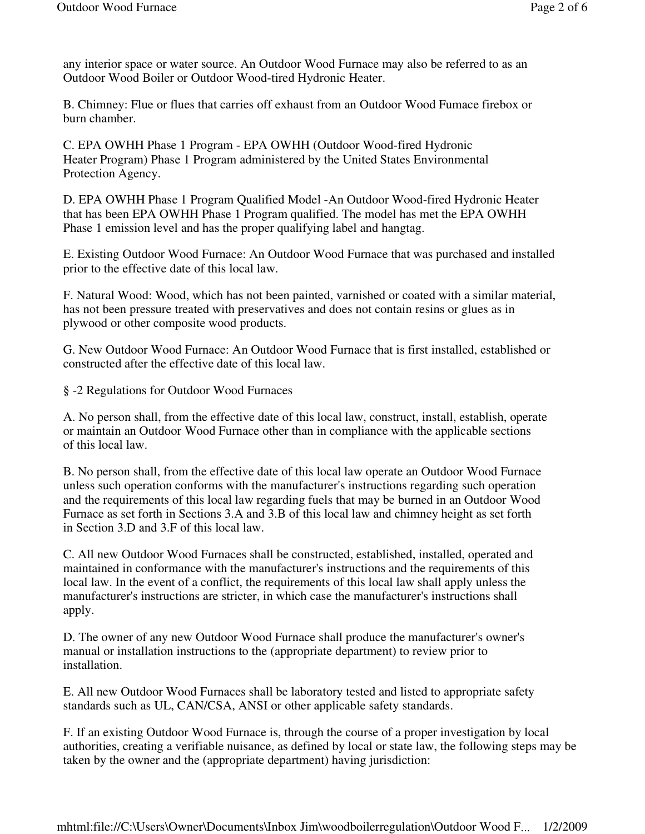any interior space or water source. An Outdoor Wood Furnace may also be referred to as an Outdoor Wood Boiler or Outdoor Wood-tired Hydronic Heater.

B. Chimney: Flue or flues that carries off exhaust from an Outdoor Wood Fumace firebox or burn chamber.

C. EPA OWHH Phase 1 Program - EPA OWHH (Outdoor Wood-fired Hydronic Heater Program) Phase 1 Program administered by the United States Environmental Protection Agency.

D. EPA OWHH Phase 1 Program Qualified Model -An Outdoor Wood-fired Hydronic Heater that has been EPA OWHH Phase 1 Program qualified. The model has met the EPA OWHH Phase 1 emission level and has the proper qualifying label and hangtag.

E. Existing Outdoor Wood Furnace: An Outdoor Wood Furnace that was purchased and installed prior to the effective date of this local law.

F. Natural Wood: Wood, which has not been painted, varnished or coated with a similar material, has not been pressure treated with preservatives and does not contain resins or glues as in plywood or other composite wood products.

G. New Outdoor Wood Furnace: An Outdoor Wood Furnace that is first installed, established or constructed after the effective date of this local law.

§ -2 Regulations for Outdoor Wood Furnaces

A. No person shall, from the effective date of this local law, construct, install, establish, operate or maintain an Outdoor Wood Furnace other than in compliance with the applicable sections of this local law.

B. No person shall, from the effective date of this local law operate an Outdoor Wood Furnace unless such operation conforms with the manufacturer's instructions regarding such operation and the requirements of this local law regarding fuels that may be burned in an Outdoor Wood Furnace as set forth in Sections 3.A and 3.B of this local law and chimney height as set forth in Section 3.D and 3.F of this local law.

C. All new Outdoor Wood Furnaces shall be constructed, established, installed, operated and maintained in conformance with the manufacturer's instructions and the requirements of this local law. In the event of a conflict, the requirements of this local law shall apply unless the manufacturer's instructions are stricter, in which case the manufacturer's instructions shall apply.

D. The owner of any new Outdoor Wood Furnace shall produce the manufacturer's owner's manual or installation instructions to the (appropriate department) to review prior to installation.

E. All new Outdoor Wood Furnaces shall be laboratory tested and listed to appropriate safety standards such as UL, CAN/CSA, ANSI or other applicable safety standards.

F. If an existing Outdoor Wood Furnace is, through the course of a proper investigation by local authorities, creating a verifiable nuisance, as defined by local or state law, the following steps may be taken by the owner and the (appropriate department) having jurisdiction: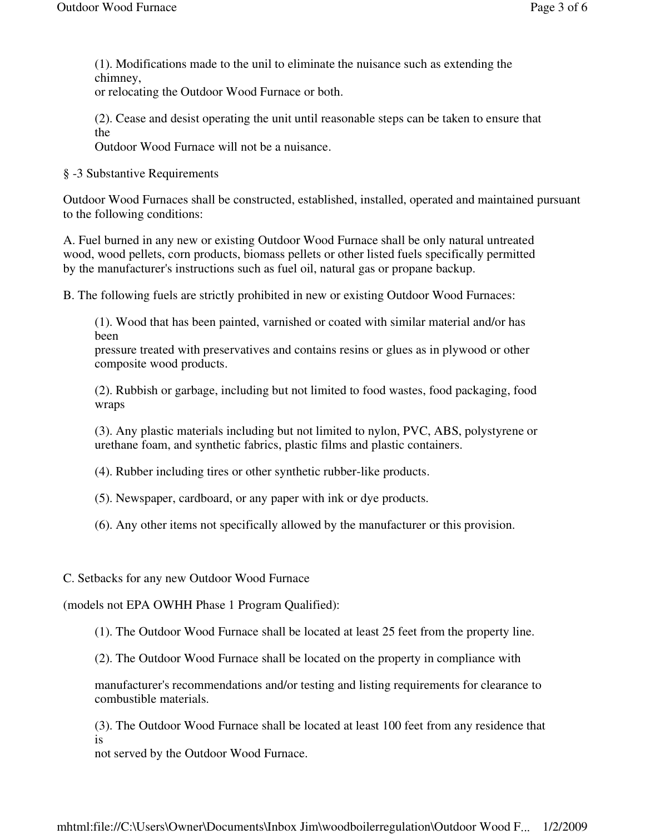(1). Modifications made to the unil to eliminate the nuisance such as extending the chimney,

or relocating the Outdoor Wood Furnace or both.

(2). Cease and desist operating the unit until reasonable steps can be taken to ensure that the

Outdoor Wood Furnace will not be a nuisance.

§ -3 Substantive Requirements

Outdoor Wood Furnaces shall be constructed, established, installed, operated and maintained pursuant to the following conditions:

A. Fuel burned in any new or existing Outdoor Wood Furnace shall be only natural untreated wood, wood pellets, corn products, biomass pellets or other listed fuels specifically permitted by the manufacturer's instructions such as fuel oil, natural gas or propane backup.

B. The following fuels are strictly prohibited in new or existing Outdoor Wood Furnaces:

(1). Wood that has been painted, varnished or coated with similar material and/or has been

pressure treated with preservatives and contains resins or glues as in plywood or other composite wood products.

(2). Rubbish or garbage, including but not limited to food wastes, food packaging, food wraps

(3). Any plastic materials including but not limited to nylon, PVC, ABS, polystyrene or urethane foam, and synthetic fabrics, plastic films and plastic containers.

(4). Rubber including tires or other synthetic rubber-like products.

(5). Newspaper, cardboard, or any paper with ink or dye products.

(6). Any other items not specifically allowed by the manufacturer or this provision.

## C. Setbacks for any new Outdoor Wood Furnace

(models not EPA OWHH Phase 1 Program Qualified):

(1). The Outdoor Wood Furnace shall be located at least 25 feet from the property line.

(2). The Outdoor Wood Furnace shall be located on the property in compliance with

manufacturer's recommendations and/or testing and listing requirements for clearance to combustible materials.

(3). The Outdoor Wood Furnace shall be located at least 100 feet from any residence that is

not served by the Outdoor Wood Furnace.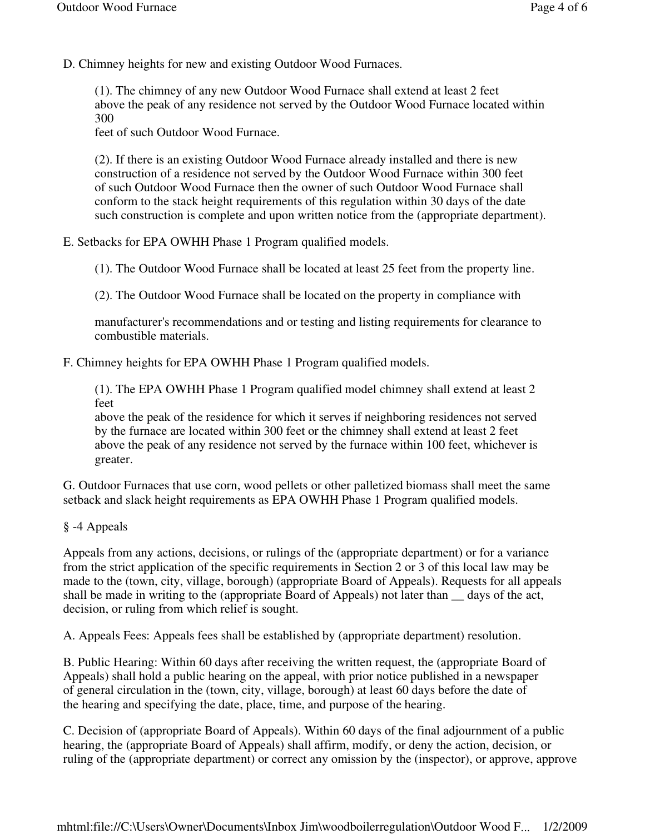D. Chimney heights for new and existing Outdoor Wood Furnaces.

(1). The chimney of any new Outdoor Wood Furnace shall extend at least 2 feet above the peak of any residence not served by the Outdoor Wood Furnace located within 300

feet of such Outdoor Wood Furnace.

(2). If there is an existing Outdoor Wood Furnace already installed and there is new construction of a residence not served by the Outdoor Wood Furnace within 300 feet of such Outdoor Wood Furnace then the owner of such Outdoor Wood Furnace shall conform to the stack height requirements of this regulation within 30 days of the date such construction is complete and upon written notice from the (appropriate department).

E. Setbacks for EPA OWHH Phase 1 Program qualified models.

(1). The Outdoor Wood Furnace shall be located at least 25 feet from the property line.

(2). The Outdoor Wood Furnace shall be located on the property in compliance with

manufacturer's recommendations and or testing and listing requirements for clearance to combustible materials.

F. Chimney heights for EPA OWHH Phase 1 Program qualified models.

(1). The EPA OWHH Phase 1 Program qualified model chimney shall extend at least 2 feet

above the peak of the residence for which it serves if neighboring residences not served by the furnace are located within 300 feet or the chimney shall extend at least 2 feet above the peak of any residence not served by the furnace within 100 feet, whichever is greater.

G. Outdoor Furnaces that use corn, wood pellets or other palletized biomass shall meet the same setback and slack height requirements as EPA OWHH Phase 1 Program qualified models.

§ -4 Appeals

Appeals from any actions, decisions, or rulings of the (appropriate department) or for a variance from the strict application of the specific requirements in Section 2 or 3 of this local law may be made to the (town, city, village, borough) (appropriate Board of Appeals). Requests for all appeals shall be made in writing to the (appropriate Board of Appeals) not later than \_\_ days of the act, decision, or ruling from which relief is sought.

A. Appeals Fees: Appeals fees shall be established by (appropriate department) resolution.

B. Public Hearing: Within 60 days after receiving the written request, the (appropriate Board of Appeals) shall hold a public hearing on the appeal, with prior notice published in a newspaper of general circulation in the (town, city, village, borough) at least 60 days before the date of the hearing and specifying the date, place, time, and purpose of the hearing.

C. Decision of (appropriate Board of Appeals). Within 60 days of the final adjournment of a public hearing, the (appropriate Board of Appeals) shall affirm, modify, or deny the action, decision, or ruling of the (appropriate department) or correct any omission by the (inspector), or approve, approve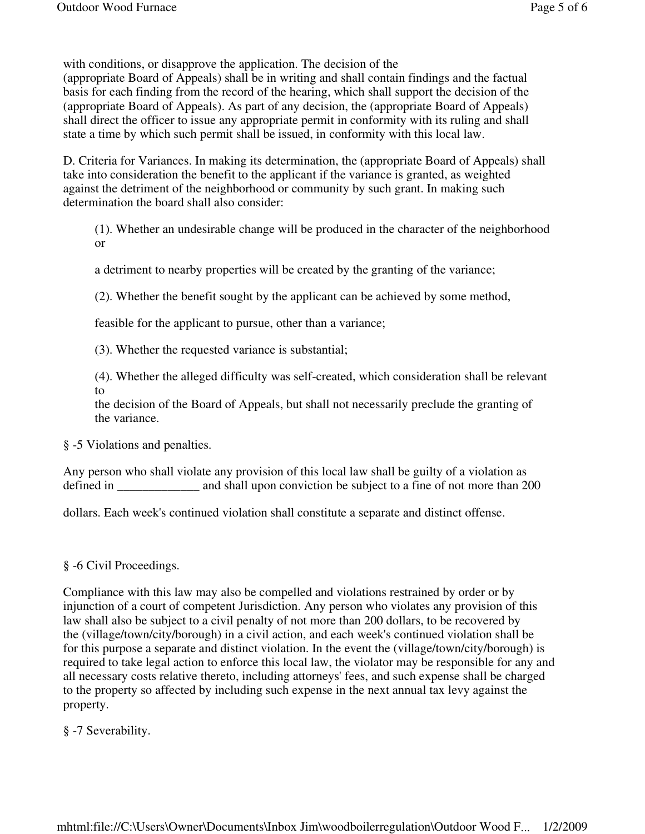with conditions, or disapprove the application. The decision of the

(appropriate Board of Appeals) shall be in writing and shall contain findings and the factual basis for each finding from the record of the hearing, which shall support the decision of the (appropriate Board of Appeals). As part of any decision, the (appropriate Board of Appeals) shall direct the officer to issue any appropriate permit in conformity with its ruling and shall state a time by which such permit shall be issued, in conformity with this local law.

D. Criteria for Variances. In making its determination, the (appropriate Board of Appeals) shall take into consideration the benefit to the applicant if the variance is granted, as weighted against the detriment of the neighborhood or community by such grant. In making such determination the board shall also consider:

(1). Whether an undesirable change will be produced in the character of the neighborhood or

a detriment to nearby properties will be created by the granting of the variance;

(2). Whether the benefit sought by the applicant can be achieved by some method,

feasible for the applicant to pursue, other than a variance;

(3). Whether the requested variance is substantial;

(4). Whether the alleged difficulty was self-created, which consideration shall be relevant to

the decision of the Board of Appeals, but shall not necessarily preclude the granting of the variance.

§ -5 Violations and penalties.

Any person who shall violate any provision of this local law shall be guilty of a violation as defined in \_\_\_\_\_\_\_\_\_\_\_\_\_ and shall upon conviction be subject to a fine of not more than 200

dollars. Each week's continued violation shall constitute a separate and distinct offense.

§ -6 Civil Proceedings.

Compliance with this law may also be compelled and violations restrained by order or by injunction of a court of competent Jurisdiction. Any person who violates any provision of this law shall also be subject to a civil penalty of not more than 200 dollars, to be recovered by the (village/town/city/borough) in a civil action, and each week's continued violation shall be for this purpose a separate and distinct violation. In the event the (village/town/city/borough) is required to take legal action to enforce this local law, the violator may be responsible for any and all necessary costs relative thereto, including attorneys' fees, and such expense shall be charged to the property so affected by including such expense in the next annual tax levy against the property.

§ -7 Severability.